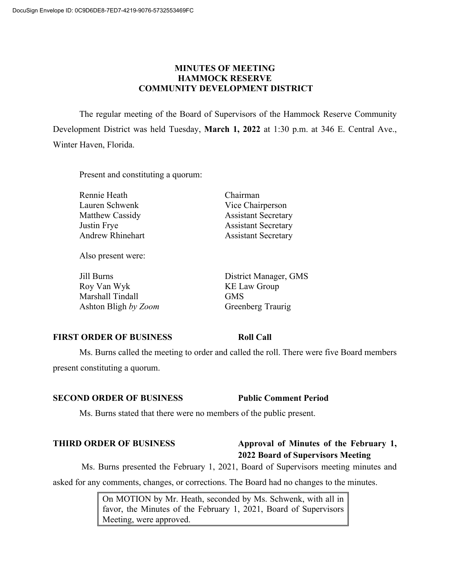# **MINUTES OF MEETING HAMMOCK RESERVE COMMUNITY DEVELOPMENT DISTRICT**

The regular meeting of the Board of Supervisors of the Hammock Reserve Community Development District was held Tuesday, **March 1, 2022** at 1:30 p.m. at 346 E. Central Ave., Winter Haven, Florida.

Present and constituting a quorum:

Rennie Heath Chairman Lauren Schwenk Vice Chairperson Matthew Cassidy **Assistant Secretary** Justin Frye Assistant Secretary Andrew Rhinehart Assistant Secretary

Also present were:

Jill Burns District Manager, GMS Roy Van Wyk KE Law Group Marshall Tindall GMS Ashton Bligh by Zoom Greenberg Traurig

# **FIRST ORDER OF BUSINESS Roll Call**

Ms. Burns called the meeting to order and called the roll. There were five Board members present constituting a quorum.

# **SECOND ORDER OF BUSINESS Public Comment Period**

Ms. Burns stated that there were no members of the public present.

# **THIRD ORDER OF BUSINESS Approval of Minutes of the February 1, 2022 Board of Supervisors Meeting**

Ms. Burns presented the February 1, 2021, Board of Supervisors meeting minutes and asked for any comments, changes, or corrections. The Board had no changes to the minutes.

> On MOTION by Mr. Heath, seconded by Ms. Schwenk, with all in favor, the Minutes of the February 1, 2021, Board of Supervisors Meeting, were approved.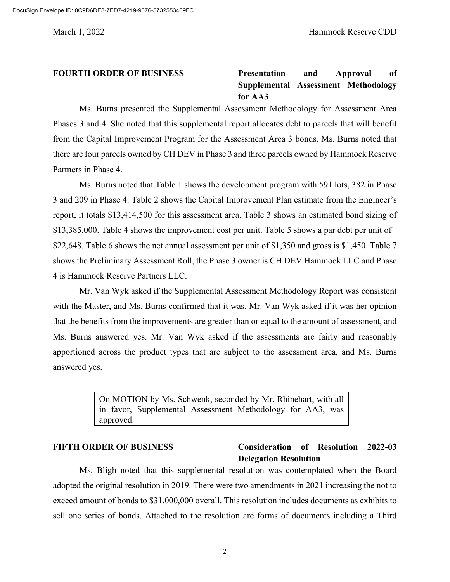## **FOURTH ORDER OF BUSINESS Presentation and Approval of Supplemental Assessment Methodology for AA3**

Ms. Burns presented the Supplemental Assessment Methodology for Assessment Area Phases 3 and 4. She noted that this supplemental report allocates debt to parcels that will benefit from the Capital Improvement Program for the Assessment Area 3 bonds. Ms. Burns noted that there are four parcels owned by CH DEV in Phase 3 and three parcels owned by Hammock Reserve Partners in Phase 4.

Ms. Burns noted that Table 1 shows the development program with 591 lots, 382 in Phase 3 and 209 in Phase 4. Table 2 shows the Capital Improvement Plan estimate from the Engineer's report, it totals \$13,414,500 for this assessment area. Table 3 shows an estimated bond sizing of \$13,385,000. Table 4 shows the improvement cost per unit. Table 5 shows a par debt per unit of \$22,648. Table 6 shows the net annual assessment per unit of \$1,350 and gross is \$1,450. Table 7 shows the Preliminary Assessment Roll, the Phase 3 owner is CH DEV Hammock LLC and Phase 4 is Hammock Reserve Partners LLC.

Mr. Van Wyk asked if the Supplemental Assessment Methodology Report was consistent with the Master, and Ms. Burns confirmed that it was. Mr. Van Wyk asked if it was her opinion that the benefits from the improvements are greater than or equal to the amount of assessment, and Ms. Burns answered yes. Mr. Van Wyk asked if the assessments are fairly and reasonably apportioned across the product types that are subject to the assessment area, and Ms. Burns answered yes.

> On MOTION by Ms. Schwenk, seconded by Mr. Rhinehart, with all in favor, Supplemental Assessment Methodology for AA3, was approved.

### **FIFTH ORDER OF BUSINESS Consideration of Resolution 2022-03 Delegation Resolution**

Ms. Bligh noted that this supplemental resolution was contemplated when the Board adopted the original resolution in 2019. There were two amendments in 2021 increasing the not to exceed amount of bonds to \$31,000,000 overall. This resolution includes documents as exhibits to sell one series of bonds. Attached to the resolution are forms of documents including a Third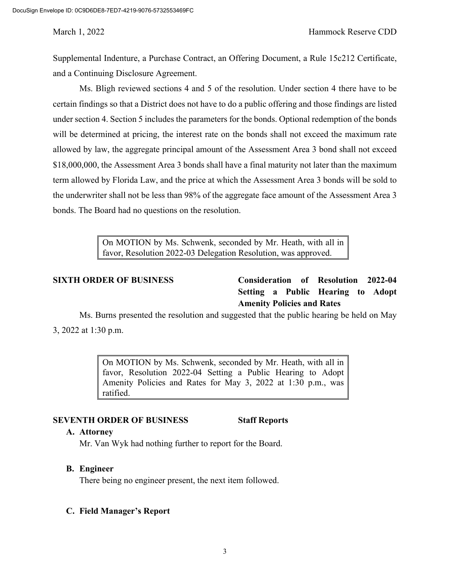Supplemental Indenture, a Purchase Contract, an Offering Document, a Rule 15c212 Certificate, and a Continuing Disclosure Agreement.

Ms. Bligh reviewed sections 4 and 5 of the resolution. Under section 4 there have to be certain findings so that a District does not have to do a public offering and those findings are listed under section 4. Section 5 includes the parameters for the bonds. Optional redemption of the bonds will be determined at pricing, the interest rate on the bonds shall not exceed the maximum rate allowed by law, the aggregate principal amount of the Assessment Area 3 bond shall not exceed \$18,000,000, the Assessment Area 3 bonds shall have a final maturity not later than the maximum term allowed by Florida Law, and the price at which the Assessment Area 3 bonds will be sold to the underwriter shall not be less than 98% of the aggregate face amount of the Assessment Area 3 bonds. The Board had no questions on the resolution.

> On MOTION by Ms. Schwenk, seconded by Mr. Heath, with all in favor, Resolution 2022-03 Delegation Resolution, was approved.

**SIXTH ORDER OF BUSINESS Consideration of Resolution 2022-04 Setting a Public Hearing to Adopt Amenity Policies and Rates**

Ms. Burns presented the resolution and suggested that the public hearing be held on May 3, 2022 at 1:30 p.m.

> On MOTION by Ms. Schwenk, seconded by Mr. Heath, with all in favor, Resolution 2022-04 Setting a Public Hearing to Adopt Amenity Policies and Rates for May 3, 2022 at 1:30 p.m., was ratified.

### **SEVENTH ORDER OF BUSINESS Staff Reports**

#### **A. Attorney**

Mr. Van Wyk had nothing further to report for the Board.

### **B. Engineer**

There being no engineer present, the next item followed.

### **C. Field Manager's Report**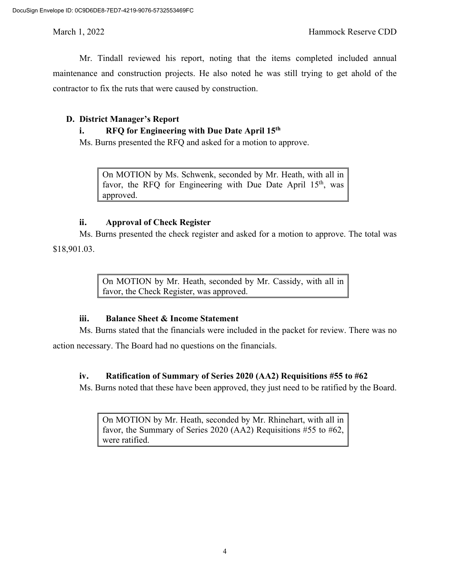Mr. Tindall reviewed his report, noting that the items completed included annual maintenance and construction projects. He also noted he was still trying to get ahold of the contractor to fix the ruts that were caused by construction.

### **D. District Manager's Report**

### **i. RFQ for Engineering with Due Date April 15th**

Ms. Burns presented the RFQ and asked for a motion to approve.

On MOTION by Ms. Schwenk, seconded by Mr. Heath, with all in favor, the RFQ for Engineering with Due Date April  $15<sup>th</sup>$ , was approved.

### **ii. Approval of Check Register**

Ms. Burns presented the check register and asked for a motion to approve. The total was \$18,901.03.

> On MOTION by Mr. Heath, seconded by Mr. Cassidy, with all in favor, the Check Register, was approved.

# **iii. Balance Sheet & Income Statement**

Ms. Burns stated that the financials were included in the packet for review. There was no

action necessary. The Board had no questions on the financials.

# **iv. Ratification of Summary of Series 2020 (AA2) Requisitions #55 to #62**

Ms. Burns noted that these have been approved, they just need to be ratified by the Board.

On MOTION by Mr. Heath, seconded by Mr. Rhinehart, with all in favor, the Summary of Series 2020 (AA2) Requisitions #55 to #62, were ratified.